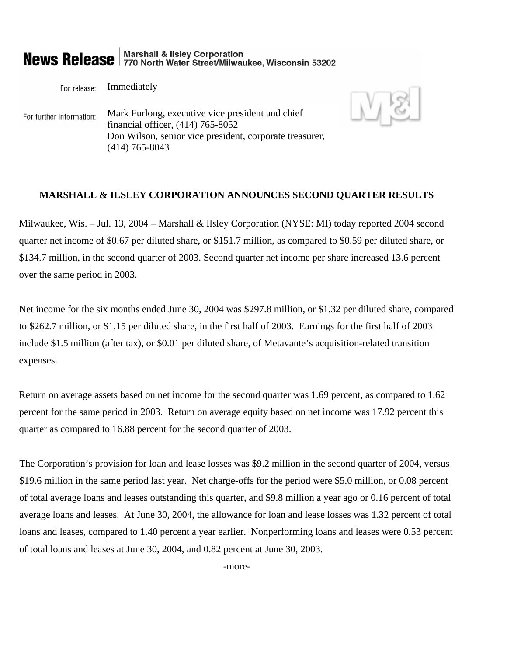# **News Release** 770 North Water Street/Milwaukee, Wisconsin 53202

Immediately For release:

Mark Furlong, executive vice president and chief For further information: financial officer, (414) 765-8052 Don Wilson, senior vice president, corporate treasurer, (414) 765-8043

## **MARSHALL & ILSLEY CORPORATION ANNOUNCES SECOND QUARTER RESULTS**

Milwaukee, Wis. – Jul. 13, 2004 – Marshall & Ilsley Corporation (NYSE: MI) today reported 2004 second quarter net income of \$0.67 per diluted share, or \$151.7 million, as compared to \$0.59 per diluted share, or \$134.7 million, in the second quarter of 2003. Second quarter net income per share increased 13.6 percent over the same period in 2003.

Net income for the six months ended June 30, 2004 was \$297.8 million, or \$1.32 per diluted share, compared to \$262.7 million, or \$1.15 per diluted share, in the first half of 2003. Earnings for the first half of 2003 include \$1.5 million (after tax), or \$0.01 per diluted share, of Metavante's acquisition-related transition expenses.

Return on average assets based on net income for the second quarter was 1.69 percent, as compared to 1.62 percent for the same period in 2003. Return on average equity based on net income was 17.92 percent this quarter as compared to 16.88 percent for the second quarter of 2003.

The Corporation's provision for loan and lease losses was \$9.2 million in the second quarter of 2004, versus \$19.6 million in the same period last year. Net charge-offs for the period were \$5.0 million, or 0.08 percent of total average loans and leases outstanding this quarter, and \$9.8 million a year ago or 0.16 percent of total average loans and leases. At June 30, 2004, the allowance for loan and lease losses was 1.32 percent of total loans and leases, compared to 1.40 percent a year earlier. Nonperforming loans and leases were 0.53 percent of total loans and leases at June 30, 2004, and 0.82 percent at June 30, 2003.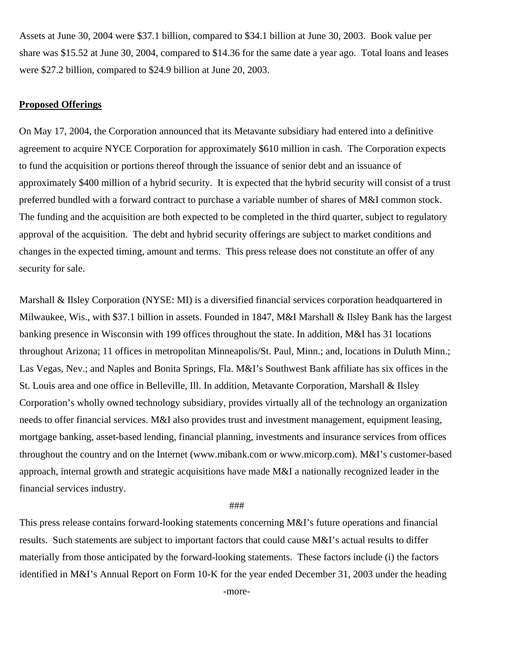Assets at June 30, 2004 were \$37.1 billion, compared to \$34.1 billion at June 30, 2003. Book value per share was \$15.52 at June 30, 2004, compared to \$14.36 for the same date a year ago. Total loans and leases were \$27.2 billion, compared to \$24.9 billion at June 20, 2003.

### **Proposed Offerings**

On May 17, 2004, the Corporation announced that its Metavante subsidiary had entered into a definitive agreement to acquire NYCE Corporation for approximately \$610 million in cash. The Corporation expects to fund the acquisition or portions thereof through the issuance of senior debt and an issuance of approximately \$400 million of a hybrid security. It is expected that the hybrid security will consist of a trust preferred bundled with a forward contract to purchase a variable number of shares of M&I common stock. The funding and the acquisition are both expected to be completed in the third quarter, subject to regulatory approval of the acquisition. The debt and hybrid security offerings are subject to market conditions and changes in the expected timing, amount and terms. This press release does not constitute an offer of any security for sale.

Marshall & Ilsley Corporation (NYSE: MI) is a diversified financial services corporation headquartered in Milwaukee, Wis., with \$37.1 billion in assets. Founded in 1847, M&I Marshall & Ilsley Bank has the largest banking presence in Wisconsin with 199 offices throughout the state. In addition, M&I has 31 locations throughout Arizona; 11 offices in metropolitan Minneapolis/St. Paul, Minn.; and, locations in Duluth Minn.; Las Vegas, Nev.; and Naples and Bonita Springs, Fla. M&I's Southwest Bank affiliate has six offices in the St. Louis area and one office in Belleville, Ill. In addition, Metavante Corporation, Marshall & Ilsley Corporation's wholly owned technology subsidiary, provides virtually all of the technology an organization needs to offer financial services. M&I also provides trust and investment management, equipment leasing, mortgage banking, asset-based lending, financial planning, investments and insurance services from offices throughout the country and on the Internet (www.mibank.com or www.micorp.com). M&I's customer-based approach, internal growth and strategic acquisitions have made M&I a nationally recognized leader in the financial services industry.

###

This press release contains forward-looking statements concerning M&I's future operations and financial results. Such statements are subject to important factors that could cause M&I's actual results to differ materially from those anticipated by the forward-looking statements. These factors include (i) the factors identified in M&I's Annual Report on Form 10-K for the year ended December 31, 2003 under the heading

-more-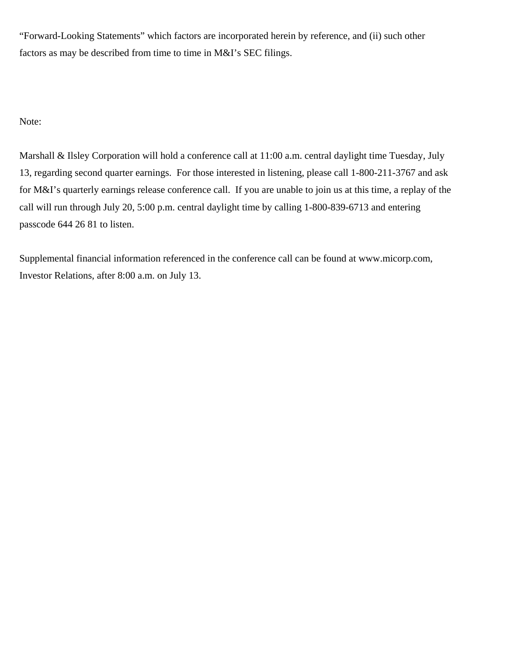"Forward-Looking Statements" which factors are incorporated herein by reference, and (ii) such other factors as may be described from time to time in M&I's SEC filings.

Note:

Marshall & Ilsley Corporation will hold a conference call at 11:00 a.m. central daylight time Tuesday, July 13, regarding second quarter earnings. For those interested in listening, please call 1-800-211-3767 and ask for M&I's quarterly earnings release conference call. If you are unable to join us at this time, a replay of the call will run through July 20, 5:00 p.m. central daylight time by calling 1-800-839-6713 and entering passcode 644 26 81 to listen.

Supplemental financial information referenced in the conference call can be found at www.micorp.com, Investor Relations, after 8:00 a.m. on July 13.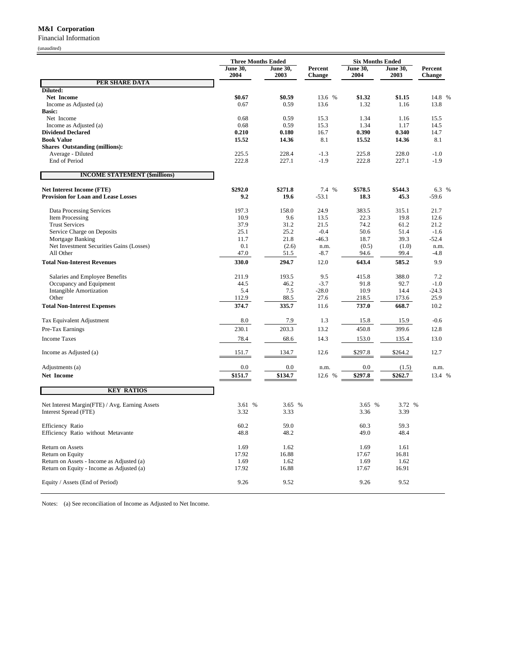#### **M&I Corporation**

Financial Information

(unaudited)

|                                                | <b>Three Months Ended</b> |                         |                   | <b>Six Months Ended</b> |                         |                          |
|------------------------------------------------|---------------------------|-------------------------|-------------------|-------------------------|-------------------------|--------------------------|
|                                                | <b>June 30,</b><br>2004   | <b>June 30,</b><br>2003 | Percent<br>Change | <b>June 30,</b><br>2004 | <b>June 30,</b><br>2003 | Percent<br><b>Change</b> |
| PER SHARE DATA                                 |                           |                         |                   |                         |                         |                          |
| Diluted:<br>Net Income                         | \$0.67                    | \$0.59                  | 13.6 %            | \$1.32                  | \$1.15                  | 14.8 %                   |
| Income as Adjusted (a)                         | 0.67                      | 0.59                    | 13.6              | 1.32                    | 1.16                    | 13.8                     |
| <b>Basic:</b>                                  |                           |                         |                   |                         |                         |                          |
| Net Income                                     | 0.68                      | 0.59                    | 15.3              | 1.34                    | 1.16                    | 15.5                     |
| Income as Adjusted (a)                         | 0.68                      | 0.59                    | 15.3              | 1.34                    | 1.17                    | 14.5                     |
| <b>Dividend Declared</b><br><b>Book Value</b>  | 0.210<br>15.52            | 0.180<br>14.36          | 16.7<br>8.1       | 0.390<br>15.52          | 0.340<br>14.36          | 14.7<br>8.1              |
| <b>Shares Outstanding (millions):</b>          |                           |                         |                   |                         |                         |                          |
| Average - Diluted                              | 225.5                     | 228.4                   | $-1.3$            | 225.8                   | 228.0                   | $-1.0$                   |
| End of Period                                  | 222.8                     | 227.1                   | $-1.9$            | 222.8                   | 227.1                   | $-1.9$                   |
| <b>INCOME STATEMENT (\$millions)</b>           |                           |                         |                   |                         |                         |                          |
| <b>Net Interest Income (FTE)</b>               | \$292.0                   | \$271.8                 | 7.4 %             | \$578.5                 | \$544.3                 | 6.3 %                    |
| <b>Provision for Loan and Lease Losses</b>     | 9.2                       | 19.6                    | $-53.1$           | 18.3                    | 45.3                    | $-59.6$                  |
|                                                |                           |                         |                   |                         |                         |                          |
| Data Processing Services<br>Item Processing    | 197.3<br>10.9             | 158.0<br>9.6            | 24.9<br>13.5      | 383.5<br>22.3           | 315.1<br>19.8           | 21.7<br>12.6             |
| <b>Trust Services</b>                          | 37.9                      | 31.2                    | 21.5              | 74.2                    | 61.2                    | 21.2                     |
| Service Charge on Deposits                     | 25.1                      | 25.2                    | $-0.4$            | 50.6                    | 51.4                    | $-1.6$                   |
| Mortgage Banking                               | 11.7                      | 21.8                    | $-46.3$           | 18.7                    | 39.3                    | $-52.4$                  |
| Net Investment Securities Gains (Losses)       | 0.1                       | (2.6)                   | n.m.              | (0.5)                   | (1.0)                   | n.m.                     |
| All Other                                      | 47.0                      | 51.5                    | $-8.7$            | 94.6                    | 99.4                    | -4.8                     |
| <b>Total Non-Interest Revenues</b>             | 330.0                     | 294.7                   | 12.0              | 643.4                   | 585.2                   | 9.9                      |
| Salaries and Employee Benefits                 | 211.9                     | 193.5                   | 9.5               | 415.8                   | 388.0                   | 7.2                      |
| Occupancy and Equipment                        | 44.5                      | 46.2                    | $-3.7$            | 91.8                    | 92.7                    | $-1.0$                   |
| Intangible Amortization<br>Other               | 5.4                       | 7.5<br>88.5             | $-28.0$<br>27.6   | 10.9                    | 14.4<br>173.6           | $-24.3$<br>25.9          |
| <b>Total Non-Interest Expenses</b>             | 112.9<br>374.7            | 335.7                   | 11.6              | 218.5<br>737.0          | 668.7                   | 10.2                     |
|                                                |                           |                         |                   |                         |                         |                          |
| Tax Equivalent Adjustment                      | 8.0                       | 7.9                     | 1.3               | 15.8                    | 15.9                    | $-0.6$                   |
| Pre-Tax Earnings                               | 230.1                     | 203.3                   | 13.2              | 450.8                   | 399.6                   | 12.8                     |
| <b>Income Taxes</b>                            | 78.4                      | 68.6                    | 14.3              | 153.0                   | 135.4                   | 13.0                     |
| Income as Adjusted (a)                         | 151.7                     | 134.7                   | 12.6              | \$297.8                 | \$264.2                 | 12.7                     |
| Adjustments (a)                                | $0.0\,$                   | $0.0\,$                 | n.m.              | $0.0\,$                 | (1.5)                   | n.m.                     |
| Net Income                                     | \$151.7                   | \$134.7                 | 12.6 %            | \$297.8                 | \$262.7                 | 13.4 %                   |
| <b>KEY RATIOS</b>                              |                           |                         |                   |                         |                         |                          |
| Net Interest Margin(FTE) / Avg. Earning Assets | 3.61 %                    | 3.65 %                  |                   | 3.65 %                  | 3.72 %                  |                          |
| Interest Spread (FTE)                          | 3.32                      | 3.33                    |                   | 3.36                    | 3.39                    |                          |
| Efficiency Ratio                               | 60.2                      | 59.0                    |                   | 60.3                    | 59.3                    |                          |
| Efficiency Ratio without Metavante             | 48.8                      | 48.2                    |                   | 49.0                    | 48.4                    |                          |
| Return on Assets                               | 1.69                      | 1.62                    |                   | 1.69                    | 1.61                    |                          |
| Return on Equity                               | 17.92                     | 16.88                   |                   | 17.67                   | 16.81                   |                          |
| Return on Assets - Income as Adjusted (a)      | 1.69                      | 1.62                    |                   | 1.69                    | 1.62                    |                          |
| Return on Equity - Income as Adjusted (a)      | 17.92                     | 16.88                   |                   | 17.67                   | 16.91                   |                          |
| Equity / Assets (End of Period)                | 9.26                      | 9.52                    |                   | 9.26                    | 9.52                    |                          |
|                                                |                           |                         |                   |                         |                         |                          |

Notes: (a) See reconciliation of Income as Adjusted to Net Income.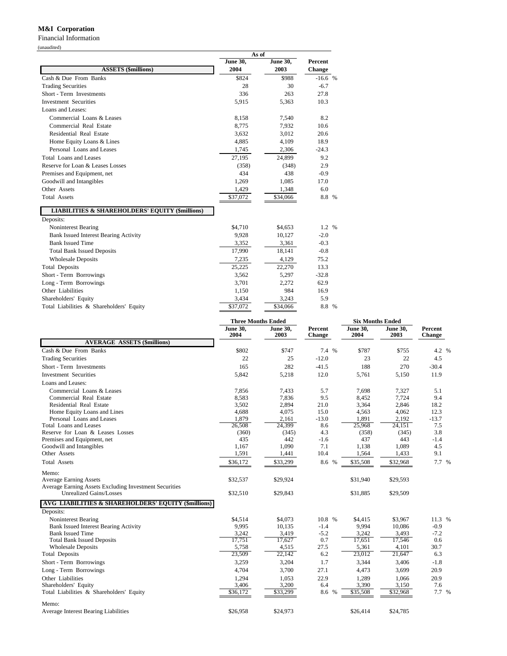#### **M&I Corporation**

Financial Information

(unaudited)

|                                                            | As of           |                 |          |
|------------------------------------------------------------|-----------------|-----------------|----------|
|                                                            | <b>June 30,</b> | <b>June 30,</b> | Percent  |
| <b>ASSETS (Smillions)</b>                                  | 2004            | 2003            | Change   |
| Cash & Due From Banks                                      | \$824           | \$988           | $-16.6%$ |
| <b>Trading Securities</b>                                  | 28              | 30              | $-6.7$   |
| Short - Term Investments                                   | 336             | 263             | 27.8     |
| <b>Investment Securities</b>                               | 5,915           | 5,363           | 10.3     |
| Loans and Leases:                                          |                 |                 |          |
| Commercial Loans & Leases                                  | 8,158           | 7,540           | 8.2      |
| Commercial Real Estate                                     | 8,775           | 7,932           | 10.6     |
| Residential Real Estate                                    | 3,632           | 3,012           | 20.6     |
| Home Equity Loans & Lines                                  | 4,885           | 4,109           | 18.9     |
| Personal Loans and Leases                                  | 1,745           | 2,306           | $-24.3$  |
| Total Loans and Leases                                     | 27,195          | 24,899          | 9.2      |
| Reserve for Loan & Leases Losses                           | (358)           | (348)           | 2.9      |
| Premises and Equipment, net                                | 434             | 438             | $-0.9$   |
| Goodwill and Intangibles                                   | 1,269           | 1,085           | 17.0     |
| Other Assets                                               | 1,429           | 1,348           | 6.0      |
| <b>Total Assets</b>                                        | \$37,072        | \$34,066        | 8.8 %    |
| <b>LIABILITIES &amp; SHAREHOLDERS' EQUITY (\$millions)</b> |                 |                 |          |
| Deposits:                                                  |                 |                 |          |
| Noninterest Bearing                                        | \$4,710         | \$4,653         | 1.2 %    |
| <b>Bank Issued Interest Bearing Activity</b>               | 9,928           | 10,127          | $-2.0$   |
| <b>Bank Issued Time</b>                                    | 3,352           | 3,361           | $-0.3$   |
| <b>Total Bank Issued Deposits</b>                          | 17,990          | 18,141          | $-0.8$   |
| <b>Wholesale Deposits</b>                                  | 7,235           | 4,129           | 75.2     |
| <b>Total Deposits</b>                                      | 25,225          | 22,270          | 13.3     |
| Short - Term Borrowings                                    | 3,562           | 5,297           | $-32.8$  |
| Long - Term Borrowings                                     | 3,701           | 2,272           | 62.9     |
| Other Liabilities                                          | 1,150           | 984             | 16.9     |
| Shareholders' Equity                                       | 3,434           | 3,243           | 5.9      |
| Total Liabilities & Shareholders' Equity                   | \$37,072        | \$34,066        | 8.8 %    |

|                                                        | <b>Three Months Ended</b> |                         |                   | <b>Six Months Ended</b> |                         |                          |
|--------------------------------------------------------|---------------------------|-------------------------|-------------------|-------------------------|-------------------------|--------------------------|
|                                                        | <b>June 30,</b><br>2004   | <b>June 30,</b><br>2003 | Percent<br>Change | <b>June 30,</b><br>2004 | <b>June 30,</b><br>2003 | Percent<br><b>Change</b> |
| <b>AVERAGE ASSETS (Smillions)</b>                      |                           |                         |                   |                         |                         |                          |
| Cash & Due From Banks                                  | \$802                     | \$747                   | 7.4 %             | \$787                   | \$755                   | 4.2 %                    |
| <b>Trading Securities</b>                              | 22                        | 25                      | $-12.0$           | 23                      | 22                      | 4.5                      |
| Short - Term Investments                               | 165                       | 282                     | $-41.5$           | 188                     | 270                     | $-30.4$                  |
| <b>Investment Securities</b>                           | 5,842                     | 5,218                   | 12.0              | 5,761                   | 5,150                   | 11.9                     |
| Loans and Leases:                                      |                           |                         |                   |                         |                         |                          |
| Commercial Loans & Leases                              | 7,856                     | 7,433                   | 5.7               | 7,698                   | 7,327                   | 5.1                      |
| Commercial Real Estate                                 | 8,583                     | 7,836                   | 9.5               | 8,452                   | 7,724                   | 9.4                      |
| Residential Real Estate                                | 3,502                     | 2,894                   | 21.0              | 3,364                   | 2,846                   | 18.2                     |
| Home Equity Loans and Lines                            | 4,688                     | 4,075                   | 15.0              | 4,563                   | 4,062                   | 12.3                     |
| Personal Loans and Leases                              | 1,879                     | 2,161                   | $-13.0$           | 1,891                   | 2,192                   | $-13.7$                  |
| Total Loans and Leases                                 | 26,508                    | 24,399                  | 8.6               | 25,968                  | 24,151                  | 7.5                      |
| Reserve for Loan & Leases Losses                       | (360)                     | (345)                   | 4.3               | (358)                   | (345)                   | 3.8                      |
| Premises and Equipment, net                            | 435                       | 442                     | $-1.6$            | 437                     | 443                     | $-1.4$                   |
| Goodwill and Intangibles                               | 1,167                     | 1,090                   | 7.1               | 1,138                   | 1,089                   | 4.5                      |
| Other Assets                                           | 1,591                     | 1,441                   | 10.4              | 1,564                   | 1,433                   | 9.1                      |
| <b>Total Assets</b>                                    | \$36,172                  | \$33,299                | 8.6<br>$\%$       | \$35,508                | \$32,968                | 7.7 %                    |
| Memo:                                                  |                           |                         |                   |                         |                         |                          |
| <b>Average Earning Assets</b>                          | \$32,537                  | \$29,924                |                   | \$31.940                | \$29,593                |                          |
| Average Earning Assets Excluding Investment Securities |                           |                         |                   |                         |                         |                          |
| <b>Unrealized Gains/Losses</b>                         | \$32,510                  | \$29,843                |                   | \$31,885                | \$29,509                |                          |
| AVG LIABILITIES & SHAREHOLDERS' EQUITY (Smillions)     |                           |                         |                   |                         |                         |                          |
| Deposits:                                              |                           |                         |                   |                         |                         |                          |
| Noninterest Bearing                                    | \$4,514                   | \$4,073                 | 10.8 %            | \$4,415                 | \$3,967                 | 11.3 %                   |
| <b>Bank Issued Interest Bearing Activity</b>           | 9,995                     | 10.135                  | $-1.4$            | 9,994                   | 10,086                  | $-0.9$                   |
| <b>Bank Issued Time</b>                                | 3,242                     | 3,419                   | $-5.2$            | 3,242                   | 3,493                   | $-7.2$                   |
| <b>Total Bank Issued Deposits</b>                      | 17,751                    | 17,627                  | 0.7               | 17,651                  | 17,546                  | 0.6                      |
| <b>Wholesale Deposits</b>                              | 5,758                     | 4,515                   | 27.5              | 5,361                   | 4,101                   | 30.7                     |
| Total Deposits                                         | 23,509                    | 22,142                  | 6.2               | 23,012                  | 21,647                  | 6.3                      |
| Short - Term Borrowings                                | 3,259                     | 3,204                   | 1.7               | 3,344                   | 3,406                   | $-1.8$                   |
| Long - Term Borrowings                                 | 4,704                     | 3,700                   | 27.1              | 4,473                   | 3,699                   | 20.9                     |
| Other Liabilities                                      | 1,294                     | 1,053                   | 22.9              | 1,289                   | 1,066                   | 20.9                     |
| Shareholders' Equity                                   | 3,406                     | 3,200                   | 6.4               | 3,390                   | 3,150                   | 7.6                      |
| Total Liabilities & Shareholders' Equity               | \$36,172                  | \$33,299                | 8.6<br>$\%$       | \$35,508                | \$32,968                | 7.7 %                    |
| Memo:                                                  |                           |                         |                   |                         |                         |                          |
| Average Interest Bearing Liabilities                   | \$26,958                  | \$24,973                |                   | \$26,414                | \$24,785                |                          |